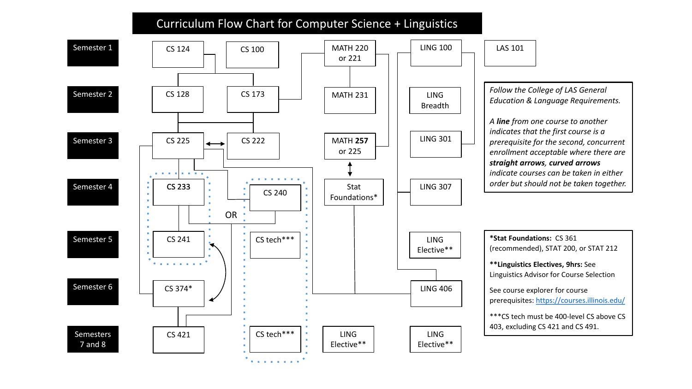## Curriculum Flow Chart for Computer Science + Linguistics